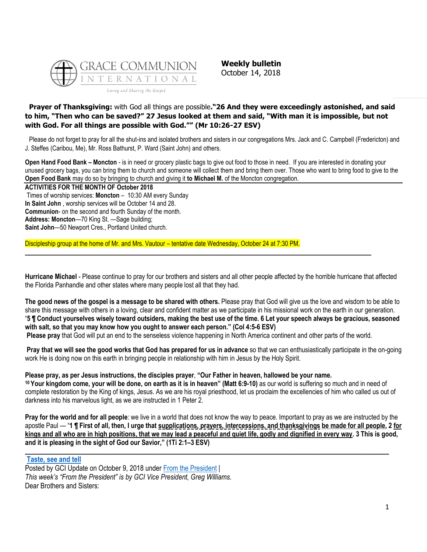

**Weekly bulletin** October 14, 2018

### **Prayer of Thanksgiving:** with God all things are possible**."26 And they were exceedingly astonished, and said to him, "Then who can be saved?" 27 Jesus looked at them and said, "With man it is impossible, but not with God. For all things are possible with God."" (Mr 10:26-27 ESV)**

Please do not forget to pray for all the shut-ins and isolated brothers and sisters in our congregations Mrs. Jack and C. Campbell (Fredericton) and J. Steffes (Caribou, Me), Mr. Ross Bathurst, P. Ward (Saint John) and others.

**Open Hand Food Bank – Moncton** - is in need or grocery plastic bags to give out food to those in need. If you are interested in donating your unused grocery bags, you can bring them to church and someone will collect them and bring them over. Those who want to bring food to give to the **Open Food Bank** may do so by bringing to church and giving it **to Michael M.** of the Moncton congregation.

### **ACTIVITIES FOR THE MONTH OF October 2018**

Times of worship services: **Moncton** – 10:30 AM every Sunday **In Saint John** , worship services will be October 14 and 28. **Communion**- on the second and fourth Sunday of the month. **Address: Moncton**—70 King St. —Sage building; **Saint John**—50 Newport Cres., Portland United church.

Discipleship group at the home of Mr. and Mrs. Vautour – tentative date Wednesday, October 24 at 7:30 PM.

**Hurricane Michael** - Please continue to pray for our brothers and sisters and all other people affected by the horrible hurricane that affected the Florida Panhandle and other states where many people lost all that they had.

**\_\_\_\_\_\_\_\_\_\_\_\_\_\_\_\_\_\_\_\_\_\_\_\_\_\_\_\_\_\_\_\_\_\_\_\_\_\_\_\_\_\_\_\_\_\_\_\_\_\_\_\_\_\_\_\_\_\_\_\_\_\_\_\_\_\_\_\_\_\_\_\_\_\_\_\_\_\_**

**The good news of the gospel is a message to be shared with others.** Please pray that God will give us the love and wisdom to be able to share this message with others in a loving, clear and confident matter as we participate in his missional work on the earth in our generation. "**5 ¶ Conduct yourselves wisely toward outsiders, making the best use of the time. 6 Let your speech always be gracious, seasoned with salt, so that you may know how you ought to answer each person." (Col 4:5-6 ESV) Please pray** that God will put an end to the senseless violence happening in North America continent and other parts of the world.

**Pray that we will see the good works that God has prepared for us in advance** so that we can enthusiastically participate in the on-going work He is doing now on this earth in bringing people in relationship with him in Jesus by the Holy Spirit.

### **Please pray, as per Jesus instructions, the disciples prayer**, **"Our Father in heaven, hallowed be your name.**

**<sup>10</sup> Your kingdom come, your will be done, on earth as it is in heaven" (Matt 6:9-10)** as our world is suffering so much and in need of complete restoration by the King of kings, Jesus. As we are his royal priesthood, let us proclaim the excellencies of him who called us out of darkness into his marvelous light, as we are instructed in 1 Peter 2.

**Pray for the world and for all people**: we live in a world that does not know the way to peace. Important to pray as we are instructed by the apostle Paul — "**1 ¶ First of all, then, I urge that supplications, prayers, intercessions, and thanksgivings be made for all people, 2 for kings and all who are in high positions, that we may lead a peaceful and quiet life, godly and dignified in every way. 3 This is good, and it is pleasing in the sight of God our Savior," (1Ti 2:1–3 ESV)**

**\_\_\_\_\_\_\_\_\_\_\_\_\_\_\_\_\_\_\_\_\_\_\_\_\_\_\_\_\_\_\_\_\_\_\_\_\_\_\_\_\_\_\_\_\_\_\_\_\_\_\_\_\_\_\_\_\_\_\_\_\_\_\_\_\_\_\_\_\_\_\_\_\_\_\_\_\_\_\_\_\_\_**

### **[Taste, see and tell](https://update.gci.org/2018/10/taste-see-and-tell/)**

Posted by GCI Update on October 9, 2018 under [From the President](https://update.gci.org/category/president/) | *This week's "From the President" is by GCI Vice President, Greg Williams.* Dear Brothers and Sisters: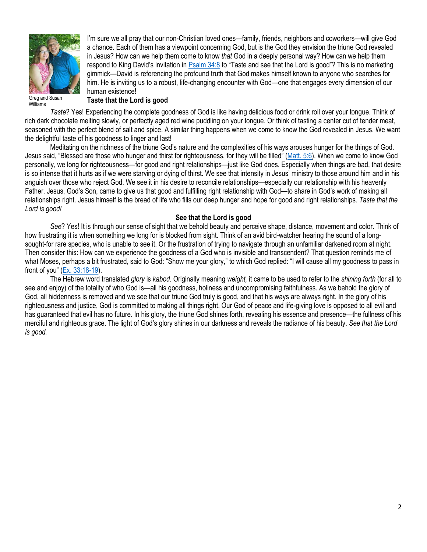

I'm sure we all pray that our non-Christian loved ones—family, friends, neighbors and coworkers—will give God a chance. Each of them has a viewpoint concerning God, but is the God they envision the triune God revealed in Jesus? How can we help them come to know *that* God in a deeply personal way? How can we help them respond to King David's invitation in **[Psalm 34:8](https://biblia.com/bible/niv/Ps%2034.8)** to "Taste and see that the Lord is good"? This is no marketing gimmick—David is referencing the profound truth that God makes himself known to anyone who searches for him. He is inviting us to a robust, life-changing encounter with God—one that engages every dimension of our human existence!

Williams

### **Taste that the Lord is good**

*Taste*? Yes! Experiencing the complete goodness of God is like having delicious food or drink roll over your tongue. Think of rich dark chocolate melting slowly, or perfectly aged red wine puddling on your tongue. Or think of tasting a center cut of tender meat, seasoned with the perfect blend of salt and spice. A similar thing happens when we come to know the God revealed in Jesus. We want the delightful taste of his goodness to linger and last!

Meditating on the richness of the triune God's nature and the complexities of his ways arouses hunger for the things of God. Jesus said, "Blessed are those who hunger and thirst for righteousness, for they will be filled" ([Matt. 5:6\)](https://biblia.com/bible/niv/Matt.%205.6). When we come to know God personally, we long for righteousness—for good and right relationships—just like God does. Especially when things are bad, that desire is so intense that it hurts as if we were starving or dying of thirst. We see that intensity in Jesus' ministry to those around him and in his anguish over those who reject God. We see it in his desire to reconcile relationships—especially our relationship with his heavenly Father. Jesus, God's Son, came to give us that good and fulfilling right relationship with God—to share in God's work of making all relationships right. Jesus himself is the bread of life who fills our deep hunger and hope for good and right relationships. *Taste that the Lord is good!*

### **See that the Lord is good**

*See*? Yes! It is through our sense of sight that we behold beauty and perceive shape, distance, movement and color. Think of how frustrating it is when something we long for is blocked from sight. Think of an avid bird-watcher hearing the sound of a longsought-for rare species, who is unable to see it. Or the frustration of trying to navigate through an unfamiliar darkened room at night. Then consider this: How can we experience the goodness of a God who is invisible and transcendent? That question reminds me of what Moses, perhaps a bit frustrated, said to God: "Show me your glory," to which God replied: "I will cause all my goodness to pass in front of you" ([Ex. 33:18-19\)](https://biblia.com/bible/niv/Exod.%2033.18-19).

The Hebrew word translated *glory* is *kabod.* Originally meaning *weight,* it came to be used to refer to the *shining forth* (for all to see and enjoy) of the totality of who God is—all his goodness, holiness and uncompromising faithfulness. As we behold the glory of God, all hiddenness is removed and we see that our triune God truly is good, and that his ways are always right. In the glory of his righteousness and justice, God is committed to making all things right. Our God of peace and life-giving love is opposed to all evil and has guaranteed that evil has no future. In his glory, the triune God shines forth, revealing his essence and presence—the fullness of his merciful and righteous grace. The light of God's glory shines in our darkness and reveals the radiance of his beauty. *See that the Lord is good.*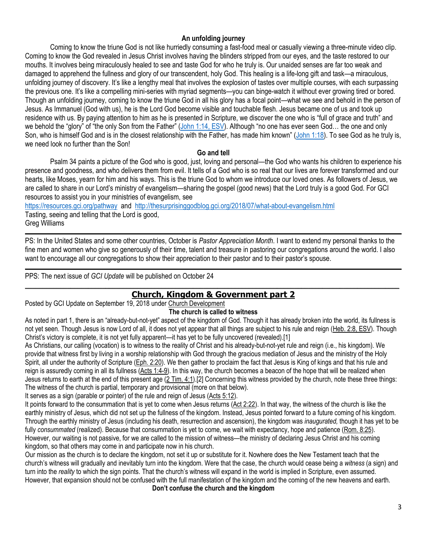# **An unfolding journey**

Coming to know the triune God is not like hurriedly consuming a fast-food meal or casually viewing a three-minute video clip. Coming to know the God revealed in Jesus Christ involves having the blinders stripped from our eyes, and the taste restored to our mouths. It involves being miraculously healed to see and taste God for who he truly is. Our unaided senses are far too weak and damaged to apprehend the fullness and glory of our transcendent, holy God. This healing is a life-long gift and task—a miraculous, unfolding journey of discovery. It's like a lengthy meal that involves the explosion of tastes over multiple courses, with each surpassing the previous one. It's like a compelling mini-series with myriad segments—you can binge-watch it without ever growing tired or bored. Though an unfolding journey, coming to know the triune God in all his glory has a focal point—what we see and behold in the person of Jesus. As Immanuel (God with us), he is the Lord God become visible and touchable flesh. Jesus became one of us and took up residence with us. By paying attention to him as he is presented in Scripture, we discover the one who is "full of grace and truth" and we behold the "glory" of "the only Son from the Father" ([John 1:14, ESV](https://biblia.com/bible/esv/John%201.14)). Although "no one has ever seen God... the one and only Son, who is himself God and is in the closest relationship with the Father, has made him known" ([John 1:18\)](https://biblia.com/bible/niv/John%201.18). To see God as he truly is, we need look no further than the Son!

### **Go and tell**

Psalm 34 paints a picture of the God who is good, just, loving and personal—the God who wants his children to experience his presence and goodness, and who delivers them from evil. It tells of a God who is so real that our lives are forever transformed and our hearts, like Moses, yearn for him and his ways. This is the triune God to whom we introduce our loved ones. As followers of Jesus, we are called to share in our Lord's ministry of evangelism—sharing the gospel (good news) that the Lord truly is a good God. For GCI resources to assist you in your ministries of evangelism, see

<https://resources.gci.org/pathway> and <http://thesurprisinggodblog.gci.org/2018/07/what-about-evangelism.html> Tasting, seeing and telling that the Lord is good, Greg Williams

PS: In the United States and some other countries, October is *Pastor Appreciation Month*. I want to extend my personal thanks to the fine men and women who give so generously of their time, talent and treasure in pastoring our congregations around the world. I also want to encourage all our congregations to show their appreciation to their pastor and to their pastor's spouse.

PPS: The next issue of *GCI Update* will be published on October 24

## $\_$  ,  $\_$  ,  $\_$  ,  $\_$  ,  $\_$  ,  $\_$  ,  $\_$  ,  $\_$  ,  $\_$  ,  $\_$  ,  $\_$  ,  $\_$  ,  $\_$  ,  $\_$  ,  $\_$  ,  $\_$  ,  $\_$  ,  $\_$  ,  $\_$  ,  $\_$  ,  $\_$  ,  $\_$  ,  $\_$  ,  $\_$  ,  $\_$  ,  $\_$  ,  $\_$  ,  $\_$  ,  $\_$  ,  $\_$  ,  $\_$  ,  $\_$  ,  $\_$  ,  $\_$  ,  $\_$  ,  $\_$  ,  $\_$  , **[Church, Kingdom & Government part 2](https://update.gci.org/2018/09/church-kingdom-government-part-2/)**

Posted by GCI Update on September 19, 2018 under [Church Development](https://update.gci.org/category/churchdev/)

### **The church is called to witness**

As noted in part 1, there is an "already-but-not-yet" aspect of the kingdom of God. Though it has already broken into the world, its fullness is not yet seen. Though Jesus is now Lord of all, it does not yet appear that all things are subject to his rule and reign [\(Heb. 2:8, ESV\)](https://biblia.com/bible/esv/Heb.%202.8). Though Christ's victory is complete, it is not yet fully apparent—it has yet to be fully uncovered (revealed).[1]

As Christians, our calling (vocation) is to witness to the reality of Christ and his already-but-not-yet rule and reign (i.e., his kingdom). We provide that witness first by living in a worship relationship with God through the gracious mediation of Jesus and the ministry of the Holy Spirit, all under the authority of Scripture [\(Eph. 2:20\)](https://biblia.com/bible/niv/Eph.%202.20). We then gather to proclaim the fact that Jesus is King of kings and that his rule and reign is assuredly coming in all its fullness [\(Acts 1:4-9\)](https://biblia.com/bible/niv/Acts%201.4-9). In this way, the church becomes a beacon of the hope that will be realized when Jesus returns to earth at the end of this present age [\(2 Tim. 4:1\)](https://biblia.com/bible/niv/2%20Tim.%204.1).[2] Concerning this witness provided by the church, note these three things: The witness of the church is partial, temporary and provisional (more on that below).

It serves as a sign (parable or pointer) of the rule and reign of Jesus [\(Acts 5:12\)](https://biblia.com/bible/niv/Acts%205.12).

It points forward to the consummation that is yet to come when Jesus returns [\(Act 2:22\)](https://biblia.com/bible/niv/Acts%202.22). In that way, the witness of the church is like the earthly ministry of Jesus, which did not set up the fullness of the kingdom. Instead, Jesus pointed forward to a future coming of his kingdom. Through the earthly ministry of Jesus (including his death, resurrection and ascension), the kingdom was *inaugurated,* though it has yet to be fully *consummated* (realized). Because that consummation is yet to come, we wait with expectancy, hope and patience [\(Rom. 8:25\)](https://biblia.com/bible/niv/Rom.%208.25). However, our waiting is not passive, for we are called to the mission of witness—the ministry of declaring Jesus Christ and his coming kingdom, so that others may come in and participate now in his church.

Our mission as the church is to declare the kingdom, not set it up or substitute for it. Nowhere does the New Testament teach that the church's witness will gradually and inevitably turn into the kingdom. Were that the case, the church would cease being a *witness* (a sign) and turn into the *reality* to which the sign points. That the church's witness will expand in the world is implied in Scripture, even assumed. However, that expansion should not be confused with the full manifestation of the kingdom and the coming of the new heavens and earth.

**Don't confuse the church and the kingdom**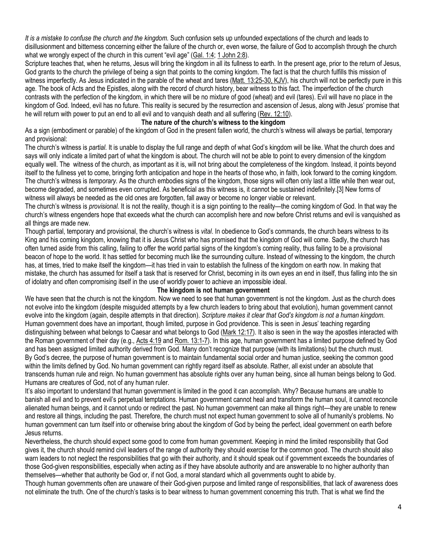*It is a mistake to confuse the church and the kingdom.* Such confusion sets up unfounded expectations of the church and leads to disillusionment and bitterness concerning either the failure of the church or, even worse, the failure of God to accomplish through the church what we wrongly expect of the church in this current "evil age" ([Gal. 1:4;](https://biblia.com/bible/niv/Gal.%201.4) [1 John 2:8\)](https://biblia.com/bible/niv/1%20John%202.8).

Scripture teaches that, when he returns, Jesus will bring the kingdom in all its fullness to earth. In the present age, prior to the return of Jesus, God grants to the church the privilege of being a sign that points to the coming kingdom. The fact is that the church fulfills this mission of witness imperfectly. As Jesus indicated in the parable of the wheat and tares [\(Matt. 13:25-30, KJV\)](https://biblia.com/bible/kjv1900/Matt.%2013.25-30), his church will not be perfectly pure in this age. The book of Acts and the Epistles, along with the record of church history, bear witness to this fact. The imperfection of the church contrasts with the perfection of the kingdom, in which there will be no mixture of good (wheat) and evil (tares). Evil will have no place in the kingdom of God. Indeed, evil has no future. This reality is secured by the resurrection and ascension of Jesus, along with Jesus' promise that he will return with power to put an end to all evil and to vanquish death and all suffering [\(Rev. 12:10\)](https://biblia.com/bible/niv/Rev.%2012.10).

### **The nature of the church's witness to the kingdom**

As a sign (embodiment or parable) of the kingdom of God in the present fallen world, the church's witness will always be partial, temporary and provisional:

The church's witness is *partial.* It is unable to display the full range and depth of what God's kingdom will be like. What the church does and says will only indicate a limited part of what the kingdom is about. The church will not be able to point to every dimension of the kingdom equally well. The witness of the church, as important as it is, will not bring about the completeness of the kingdom. Instead, it points beyond itself to the fullness yet to come, bringing forth anticipation and hope in the hearts of those who, in faith, look forward to the coming kingdom. The church's witness is *temporary*. As the church embodies signs of the kingdom, those signs will often only last a little while then wear out, become degraded, and sometimes even corrupted. As beneficial as this witness is, it cannot be sustained indefinitely.[3] New forms of witness will always be needed as the old ones are forgotten, fall away or become no longer viable or relevant.

The church's witness is *provisional.* It is not the reality, though it is a sign pointing to the reality—the coming kingdom of God. In that way the church's witness engenders hope that exceeds what the church can accomplish here and now before Christ returns and evil is vanquished as all things are made new.

Though partial, temporary and provisional, the church's witness is *vital*. In obedience to God's commands, the church bears witness to its King and his coming kingdom, knowing that it is Jesus Christ who has promised that the kingdom of God will come. Sadly, the church has often turned aside from this calling, failing to offer the world partial signs of the kingdom's coming reality, thus failing to be a provisional beacon of hope to the world. It has settled for becoming much like the surrounding culture. Instead of witnessing to the kingdom, the church has, at times, tried to make itself the kingdom—it has tried in vain to establish the fullness of the kingdom on earth now. In making that mistake, the church has assumed for itself a task that is reserved for Christ, becoming in its own eyes an end in itself, thus falling into the sin of idolatry and often compromising itself in the use of worldly power to achieve an impossible ideal.

### **The kingdom is not human government**

We have seen that the church is not the kingdom. Now we need to see that human government is not the kingdom. Just as the church does not evolve into the kingdom (despite misguided attempts by a few church leaders to bring about that evolution), human government cannot evolve into the kingdom (again, despite attempts in that direction). *Scripture makes it clear that God's kingdom is not a human kingdom.* Human government does have an important, though limited, purpose in God providence. This is seen in Jesus' teaching regarding distinguishing between what belongs to Caesar and what belongs to God [\(Mark 12:17\)](https://biblia.com/bible/niv/Mark%2012.17). It also is seen in the way the apostles interacted with the Roman government of their day (e.g., [Acts 4:19](https://biblia.com/bible/niv/Acts%204.19) and [Rom. 13:1-7\)](https://biblia.com/bible/niv/Rom.%2013.1-7). In this age, human government has a limited purpose defined by God and has been assigned limited authority derived from God. Many don't recognize that purpose (with its limitations) but the church must. By God's decree, the purpose of human government is to maintain fundamental social order and human justice, seeking the common good within the limits defined by God. No human government can rightly regard itself as absolute. Rather, all exist under an absolute that transcends human rule and reign. No human government has absolute rights over any human being, since all human beings belong to God. Humans are creatures of God, not of any human ruler.

It's also important to understand that human government is limited in the good it can accomplish. Why? Because humans are unable to banish all evil and to prevent evil's perpetual temptations. Human government cannot heal and transform the human soul, it cannot reconcile alienated human beings, and it cannot undo or redirect the past. No human government can make all things right—they are unable to renew and restore all things, including the past. Therefore, the church must not expect human government to solve all of humanity's problems. No human government can turn itself into or otherwise bring about the kingdom of God by being the perfect, ideal government on earth before Jesus returns.

Nevertheless, the church should expect some good to come from human government. Keeping in mind the limited responsibility that God gives it, the church should remind civil leaders of the range of authority they should exercise for the common good. The church should also warn leaders to not neglect the responsibilities that go with their authority, and it should speak out if government exceeds the boundaries of those God-given responsibilities, especially when acting as if they have absolute authority and are answerable to no higher authority than themselves—whether that authority be God or, if not God, a moral standard which all governments ought to abide by.

Though human governments often are unaware of their God-given purpose and limited range of responsibilities, that lack of awareness does not eliminate the truth. One of the church's tasks is to bear witness to human government concerning this truth. That is what we find the